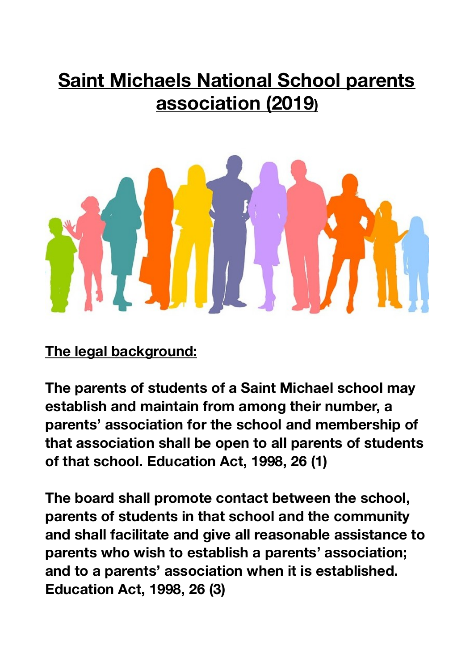## **Saint Michaels National School parents association (2019)**



**The legal background:** 

**The parents of students of a Saint Michael school may establish and maintain from among their number, a parents' association for the school and membership of that association shall be open to all parents of students of that school. Education Act, 1998, 26 (1)** 

**The board shall promote contact between the school, parents of students in that school and the community and shall facilitate and give all reasonable assistance to parents who wish to establish a parents' association; and to a parents' association when it is established. Education Act, 1998, 26 (3)**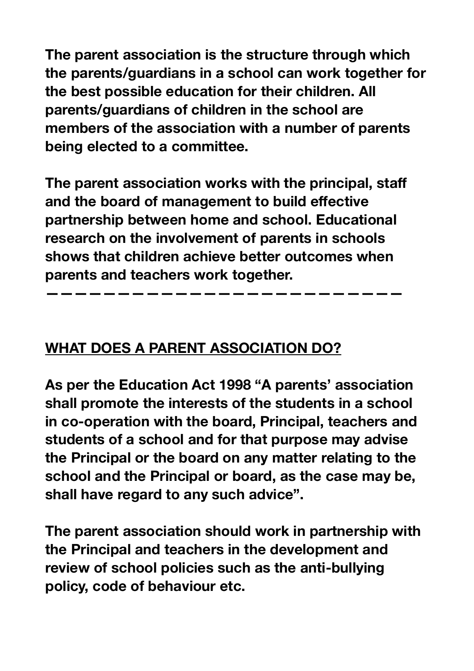**The parent association is the structure through which the parents/guardians in a school can work together for the best possible education for their children. All parents/guardians of children in the school are members of the association with a number of parents being elected to a committee.** 

**The parent association works with the principal, staff and the board of management to build effective partnership between home and school. Educational research on the involvement of parents in schools shows that children achieve better outcomes when parents and teachers work together.** 

**—————————————————————————** 

#### **WHAT DOES A PARENT ASSOCIATION DO?**

**As per the Education Act 1998 "A parents' association shall promote the interests of the students in a school in co-operation with the board, Principal, teachers and students of a school and for that purpose may advise the Principal or the board on any matter relating to the school and the Principal or board, as the case may be, shall have regard to any such advice".** 

**The parent association should work in partnership with the Principal and teachers in the development and review of school policies such as the anti-bullying policy, code of behaviour etc.**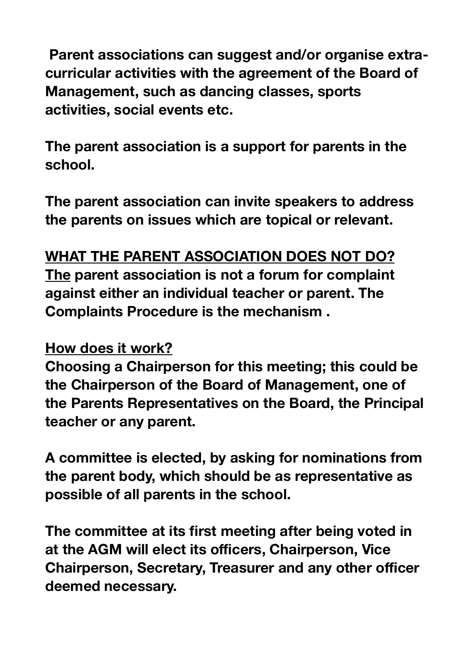**Parent associations can suggest and/or organise extracurricular activities with the agreement of the Board of Management, such as dancing classes, sports activities, social events etc.** 

**The parent association is a support for parents in the school.** 

**The parent association can invite speakers to address the parents on issues which are topical or relevant.** 

#### **WHAT THE PARENT ASSOCIATION DOES NOT DO?**

**The parent association is not a forum for complaint against either an individual teacher or parent. The Complaints Procedure is the mechanism .** 

#### **How does it work?**

**Choosing a Chairperson for this meeting; this could be the Chairperson of the Board of Management, one of the Parents Representatives on the Board, the Principal teacher or any parent.** 

**A committee is elected, by asking for nominations from the parent body, which should be as representative as possible of all parents in the school.** 

**The committee at its first meeting after being voted in at the AGM will elect its officers, Chairperson, Vice Chairperson, Secretary, Treasurer and any other officer deemed necessary.**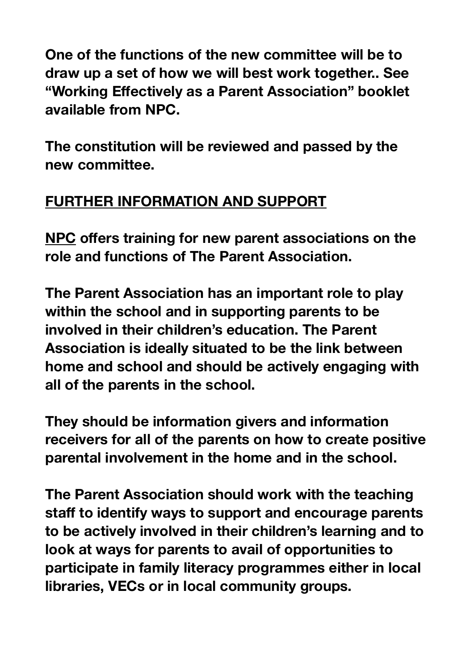**One of the functions of the new committee will be to draw up a set of how we will best work together.. See "Working Effectively as a Parent Association" booklet available from NPC.** 

**The constitution will be reviewed and passed by the new committee.** 

### **FURTHER INFORMATION AND SUPPORT**

**NPC offers training for new parent associations on the role and functions of The Parent Association.** 

**The Parent Association has an important role to play within the school and in supporting parents to be involved in their children's education. The Parent Association is ideally situated to be the link between home and school and should be actively engaging with all of the parents in the school.** 

**They should be information givers and information receivers for all of the parents on how to create positive parental involvement in the home and in the school.** 

**The Parent Association should work with the teaching staff to identify ways to support and encourage parents to be actively involved in their children's learning and to look at ways for parents to avail of opportunities to participate in family literacy programmes either in local libraries, VECs or in local community groups.**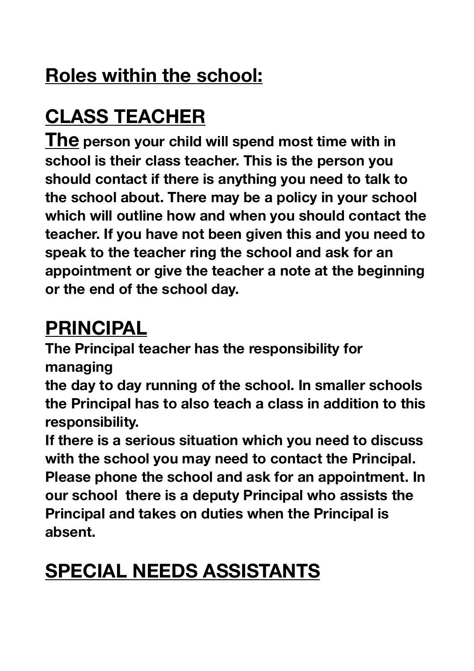## **Roles within the school:**

# **CLASS TEACHER**

**The person your child will spend most time with in school is their class teacher. This is the person you should contact if there is anything you need to talk to the school about. There may be a policy in your school which will outline how and when you should contact the teacher. If you have not been given this and you need to speak to the teacher ring the school and ask for an appointment or give the teacher a note at the beginning or the end of the school day.** 

## **PRINCIPAL**

**The Principal teacher has the responsibility for managing** 

**the day to day running of the school. In smaller schools the Principal has to also teach a class in addition to this responsibility.** 

**If there is a serious situation which you need to discuss with the school you may need to contact the Principal. Please phone the school and ask for an appointment. In our school there is a deputy Principal who assists the Principal and takes on duties when the Principal is absent.** 

## **SPECIAL NEEDS ASSISTANTS**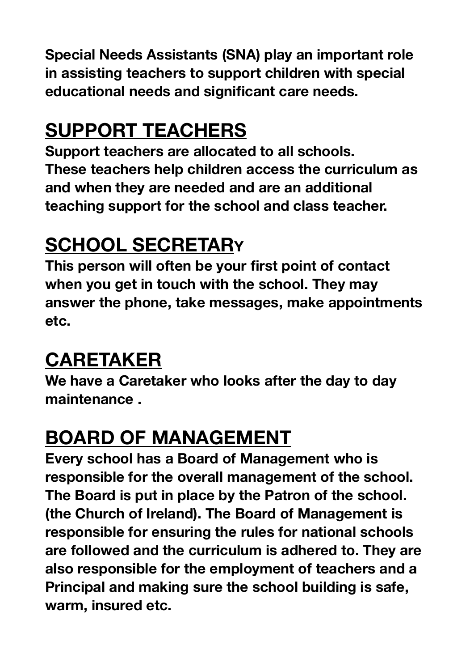**Special Needs Assistants (SNA) play an important role in assisting teachers to support children with special educational needs and significant care needs.** 

## **SUPPORT TEACHERS**

**Support teachers are allocated to all schools. These teachers help children access the curriculum as and when they are needed and are an additional teaching support for the school and class teacher.** 

## **SCHOOL SECRETARY**

**This person will often be your first point of contact when you get in touch with the school. They may answer the phone, take messages, make appointments etc.** 

### **CARETAKER**

**We have a Caretaker who looks after the day to day maintenance .** 

## **BOARD OF MANAGEMENT**

**Every school has a Board of Management who is responsible for the overall management of the school. The Board is put in place by the Patron of the school. (the Church of Ireland). The Board of Management is responsible for ensuring the rules for national schools are followed and the curriculum is adhered to. They are also responsible for the employment of teachers and a Principal and making sure the school building is safe, warm, insured etc.**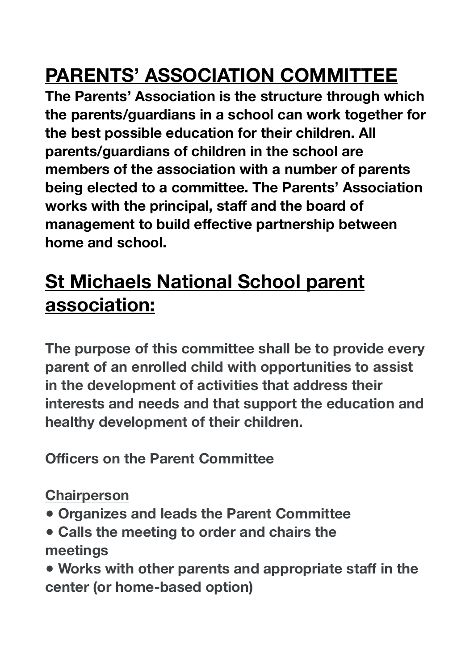# **PARENTS' ASSOCIATION COMMITTEE**

**The Parents' Association is the structure through which the parents/guardians in a school can work together for the best possible education for their children. All parents/guardians of children in the school are members of the association with a number of parents being elected to a committee. The Parents' Association works with the principal, staff and the board of management to build effective partnership between home and school.** 

## **St Michaels National School parent association:**

**The purpose of this committee shall be to provide every parent of an enrolled child with opportunities to assist in the development of activities that address their interests and needs and that support the education and healthy development of their children.** 

**Officers on the Parent Committee** 

**Chairperson** 

- **● Organizes and leads the Parent Committee**
- **● Calls the meeting to order and chairs the meetings**
- **● Works with other parents and appropriate staff in the center (or home-based option)**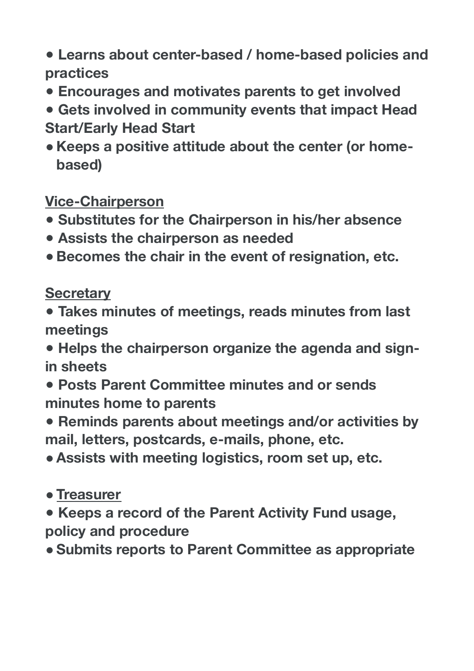- **● Learns about center-based / home-based policies and practices**
- **● Encourages and motivates parents to get involved**
- **● Gets involved in community events that impact Head Start/Early Head Start**
- **● Keeps a positive attitude about the center (or homebased)**

#### **Vice-Chairperson**

- **● Substitutes for the Chairperson in his/her absence**
- **● Assists the chairperson as needed**
- **● Becomes the chair in the event of resignation, etc.**

**Secretary** 

**● Takes minutes of meetings, reads minutes from last meetings** 

**● Helps the chairperson organize the agenda and signin sheets** 

- **● Posts Parent Committee minutes and or sends minutes home to parents**
- **● Reminds parents about meetings and/or activities by mail, letters, postcards, e-mails, phone, etc.**
- **●Assists with meeting logistics, room set up, etc.**
- **●Treasurer**
- **● Keeps a record of the Parent Activity Fund usage, policy and procedure**
- **●Submits reports to Parent Committee as appropriate**